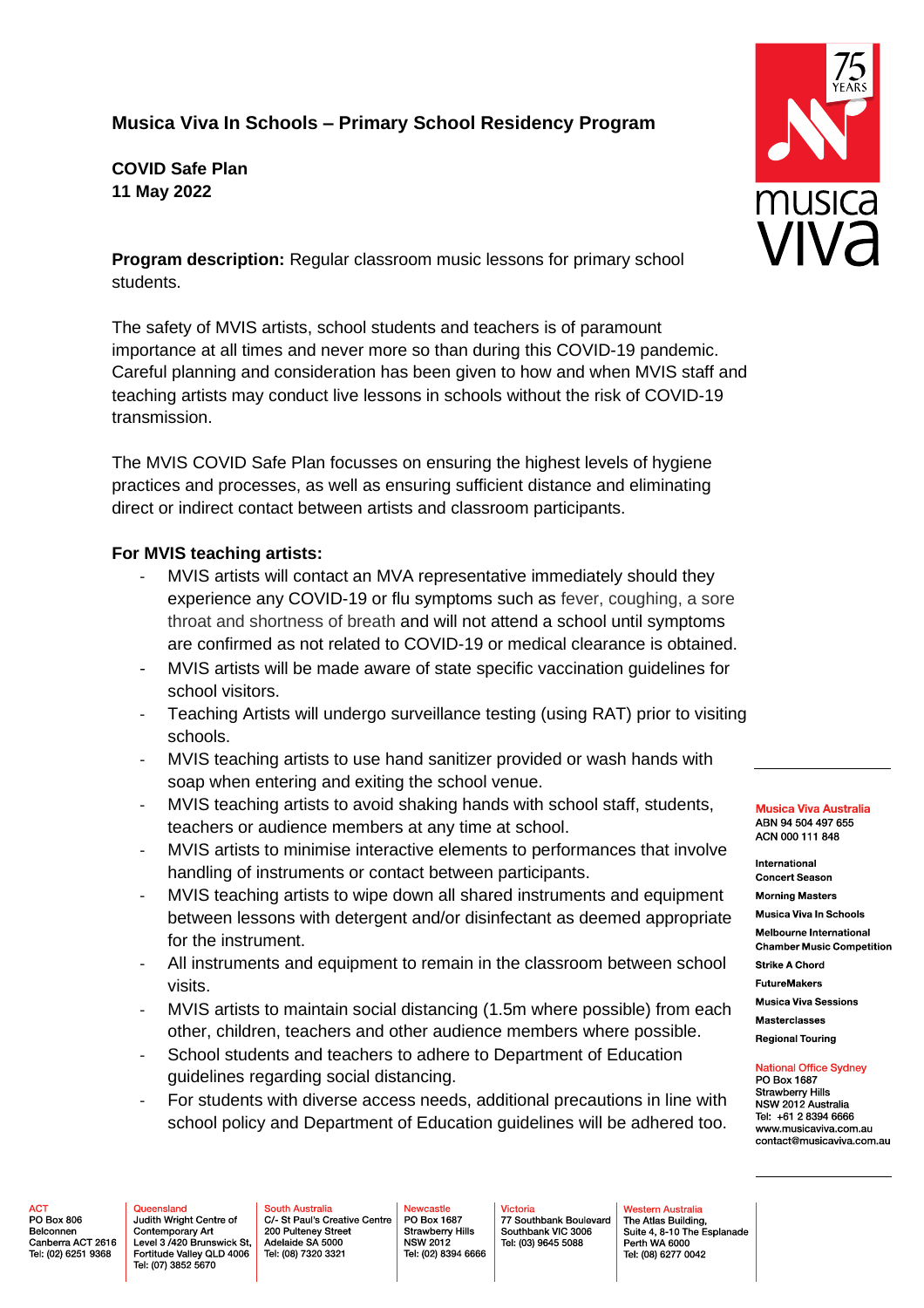## **Musica Viva In Schools – Primary School Residency Program**

**COVID Safe Plan 11 May 2022**

**Program description:** Regular classroom music lessons for primary school students.

The safety of MVIS artists, school students and teachers is of paramount importance at all times and never more so than during this COVID-19 pandemic. Careful planning and consideration has been given to how and when MVIS staff and teaching artists may conduct live lessons in schools without the risk of COVID-19 transmission.

The MVIS COVID Safe Plan focusses on ensuring the highest levels of hygiene practices and processes, as well as ensuring sufficient distance and eliminating direct or indirect contact between artists and classroom participants.

## **For MVIS teaching artists:**

- MVIS artists will contact an MVA representative immediately should they experience any COVID-19 or flu symptoms such as fever, coughing, a sore throat and shortness of breath and will not attend a school until symptoms are confirmed as not related to COVID-19 or medical clearance is obtained.
- MVIS artists will be made aware of state specific vaccination guidelines for school visitors.
- Teaching Artists will undergo surveillance testing (using RAT) prior to visiting schools.
- MVIS teaching artists to use hand sanitizer provided or wash hands with soap when entering and exiting the school venue.
- MVIS teaching artists to avoid shaking hands with school staff, students, teachers or audience members at any time at school.
- MVIS artists to minimise interactive elements to performances that involve handling of instruments or contact between participants.
- MVIS teaching artists to wipe down all shared instruments and equipment between lessons with detergent and/or disinfectant as deemed appropriate for the instrument.
- All instruments and equipment to remain in the classroom between school visits.
- MVIS artists to maintain social distancing (1.5m where possible) from each other, children, teachers and other audience members where possible.
- School students and teachers to adhere to Department of Education guidelines regarding social distancing.
- For students with diverse access needs, additional precautions in line with school policy and Department of Education guidelines will be adhered too.

**Musica Viva Australia** ABN 94 504 497 655 ACN 000 111 848

International **Concert Season Morning Masters** 

Musica Viva In Schools

**Melbourne International Chamber Music Competition** 

**Strike A Chord** 

**FutureMakers** 

**Musica Viva Sessions Masterclasses** 

**Regional Touring** 

**National Office Sydney** PO Box 1687

Strawberry Hills NSW 2012 Australia Tel: +61 2 8394 6666 www.musicaviva.com.au contact@musicaviva.com.au

PO Box 806 Belconnen Canberra ACT 2616 Tel: (02) 6251 9368

**ACT** 

Queensland Judith Wright Centre of Contemporary Art Level 3 /420 Brunswick St, Fortitude Valley QLD 4006 Tel: (07) 3852 5670

**South Australia** C/ St Paul's Creative Centre 200 Pulteney Street Adelaide SA 5000 Tel: (08) 7320 3321

**Ewcastle** PO Box 1687 Strawberry Hills<br>NSW 2012 Tel: (02) 8394 6666

Victoria 77 Southbank Boulevard Southbank VIC 3006 Tel: (03) 9645 5088

Western Australia The Atlas Building, Suite 4, 8-10 The Esplanade Perth WA 6000 Tel: (08) 6277 0042